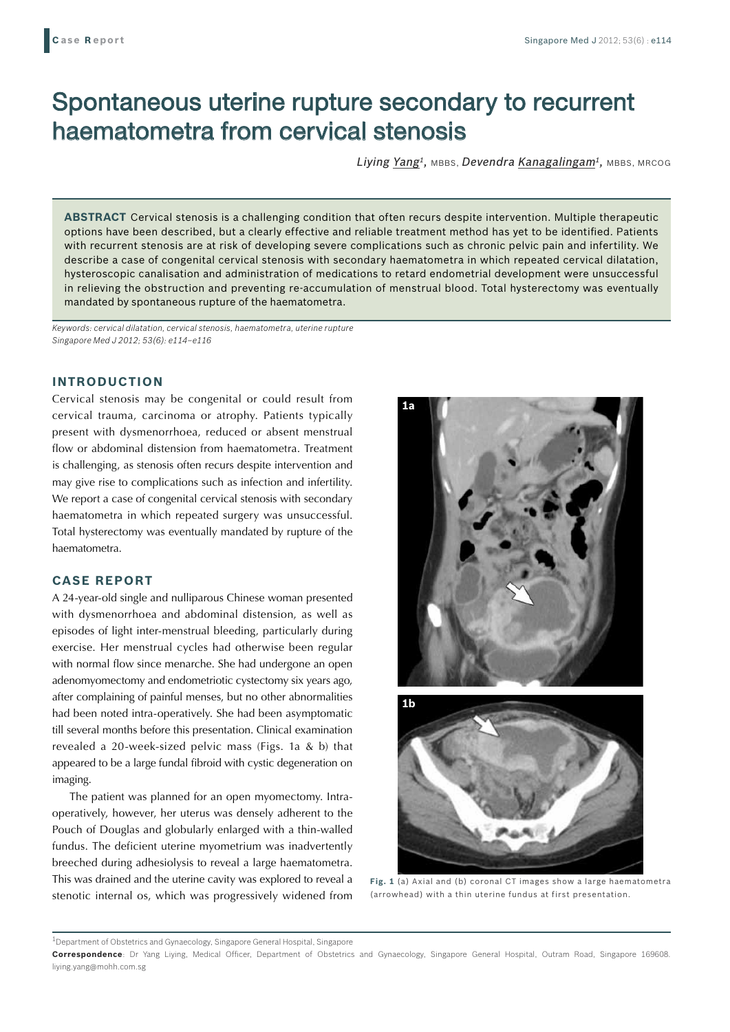# Spontaneous uterine rupture secondary to recurrent haematometra from cervical stenosis

*Liying Yang1,* MBBS, *Devendra Kanagalingam1,* MBBS, MRCOG

**ABSTRACT** Cervical stenosis is a challenging condition that often recurs despite intervention. Multiple therapeutic options have been described, but a clearly effective and reliable treatment method has yet to be identified. Patients with recurrent stenosis are at risk of developing severe complications such as chronic pelvic pain and infertility. We describe a case of congenital cervical stenosis with secondary haematometra in which repeated cervical dilatation, hysteroscopic canalisation and administration of medications to retard endometrial development were unsuccessful in relieving the obstruction and preventing re-accumulation of menstrual blood. Total hysterectomy was eventually mandated by spontaneous rupture of the haematometra.

*Keywords: cervical dilatation, cervical stenosis, haematometra, uterine rupture Singapore Med J 2012; 53(6): e114–e116*

## **INTRODUCTION**

Cervical stenosis may be congenital or could result from cervical trauma, carcinoma or atrophy. Patients typically present with dysmenorrhoea, reduced or absent menstrual flow or abdominal distension from haematometra. Treatment is challenging, as stenosis often recurs despite intervention and may give rise to complications such as infection and infertility. We report a case of congenital cervical stenosis with secondary haematometra in which repeated surgery was unsuccessful. Total hysterectomy was eventually mandated by rupture of the haematometra.

#### **CASE REPORT**

A 24-year-old single and nulliparous Chinese woman presented with dysmenorrhoea and abdominal distension, as well as episodes of light inter-menstrual bleeding, particularly during exercise. Her menstrual cycles had otherwise been regular with normal flow since menarche. She had undergone an open adenomyomectomy and endometriotic cystectomy six years ago, after complaining of painful menses, but no other abnormalities had been noted intra-operatively. She had been asymptomatic till several months before this presentation. Clinical examination revealed a 20-week-sized pelvic mass (Figs. 1a & b) that appeared to be a large fundal fibroid with cystic degeneration on imaging.

The patient was planned for an open myomectomy. Intraoperatively, however, her uterus was densely adherent to the Pouch of Douglas and globularly enlarged with a thin-walled fundus. The deficient uterine myometrium was inadvertently breeched during adhesiolysis to reveal a large haematometra. This was drained and the uterine cavity was explored to reveal a stenotic internal os, which was progressively widened from





**Fig. 1** (a) Axial and (b) coronal CT images show a large haematometra (arrowhead) with a thin uterine fundus at first presentation.

 $^{\rm 1}$ Department of Obstetrics and Gynaecology, Singapore General Hospital, Singapore

**Correspondence**: Dr Yang Liying, Medical Officer, Department of Obstetrics and Gynaecology, Singapore General Hospital, Outram Road, Singapore 169608. liying.yang@mohh.com.sg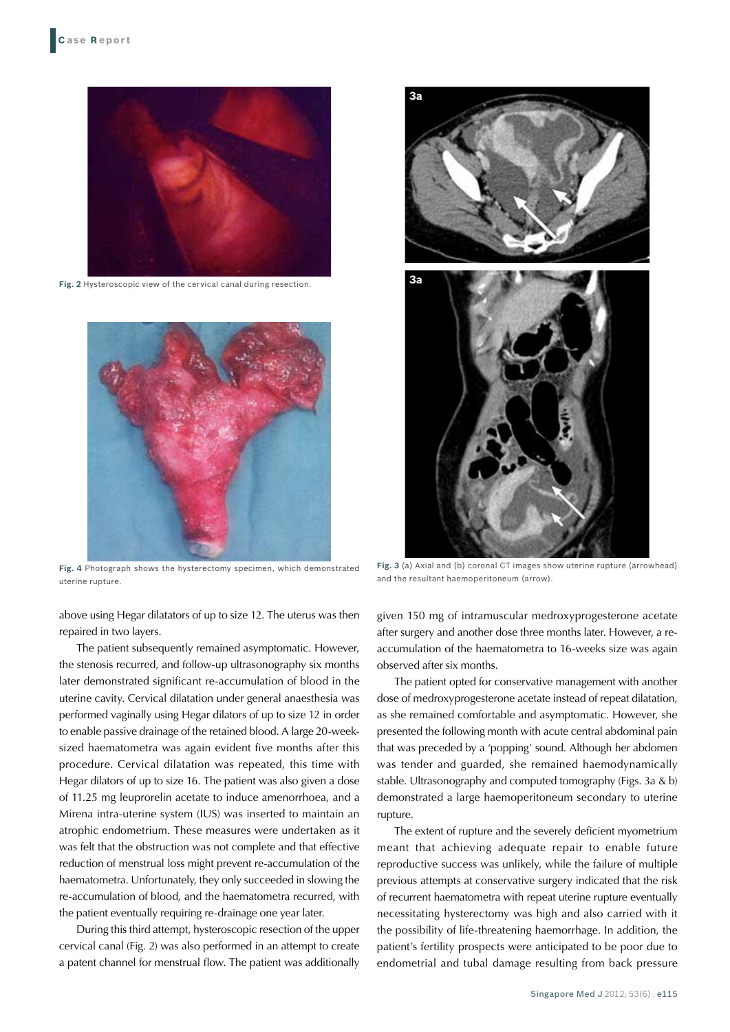

**Fig. 2** Hysteroscopic view of the cervical canal during resection.



**Fig. 4** Photograph shows the hysterectomy specimen, which demonstrated uterine rupture.

above using Hegar dilatators of up to size 12. The uterus was then repaired in two layers.

The patient subsequently remained asymptomatic. However, the stenosis recurred, and follow-up ultrasonography six months later demonstrated significant re-accumulation of blood in the uterine cavity. Cervical dilatation under general anaesthesia was performed vaginally using Hegar dilators of up to size 12 in order to enable passive drainage of the retained blood. A large 20-weeksized haematometra was again evident five months after this procedure. Cervical dilatation was repeated, this time with Hegar dilators of up to size 16. The patient was also given a dose of 11.25 mg leuprorelin acetate to induce amenorrhoea, and a Mirena intra-uterine system (IUS) was inserted to maintain an atrophic endometrium. These measures were undertaken as it was felt that the obstruction was not complete and that effective reduction of menstrual loss might prevent re-accumulation of the haematometra. Unfortunately, they only succeeded in slowing the re-accumulation of blood, and the haematometra recurred, with the patient eventually requiring re-drainage one year later.

During this third attempt, hysteroscopic resection of the upper cervical canal (Fig. 2) was also performed in an attempt to create a patent channel for menstrual flow. The patient was additionally



**Fig. 3** (a) Axial and (b) coronal CT images show uterine rupture (arrowhead) and the resultant haemoperitoneum (arrow).

given 150 mg of intramuscular medroxyprogesterone acetate after surgery and another dose three months later. However, a reaccumulation of the haematometra to 16-weeks size was again observed after six months.

The patient opted for conservative management with another dose of medroxyprogesterone acetate instead of repeat dilatation, as she remained comfortable and asymptomatic. However, she presented the following month with acute central abdominal pain that was preceded by a 'popping' sound. Although her abdomen was tender and guarded, she remained haemodynamically stable. Ultrasonography and computed tomography (Figs. 3a & b) demonstrated a large haemoperitoneum secondary to uterine rupture.

The extent of rupture and the severely deficient myometrium meant that achieving adequate repair to enable future reproductive success was unlikely, while the failure of multiple previous attempts at conservative surgery indicated that the risk of recurrent haematometra with repeat uterine rupture eventually necessitating hysterectomy was high and also carried with it the possibility of life-threatening haemorrhage. In addition, the patient's fertility prospects were anticipated to be poor due to endometrial and tubal damage resulting from back pressure